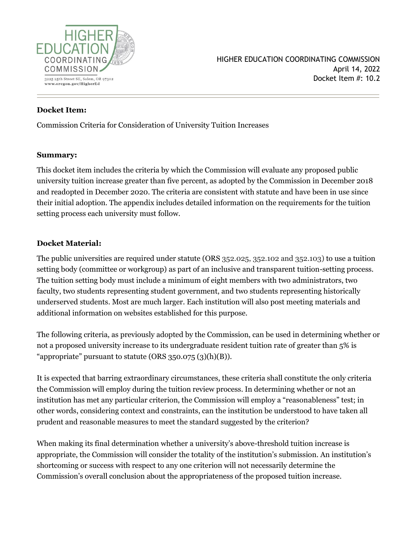

### **Docket Item:**

Commission Criteria for Consideration of University Tuition Increases

#### **Summary:**

This docket item includes the criteria by which the Commission will evaluate any proposed public university tuition increase greater than five percent, as adopted by the Commission in December 2018 and readopted in December 2020. The criteria are consistent with statute and have been in use since their initial adoption. The appendix includes detailed information on the requirements for the tuition setting process each university must follow.

### **Docket Material:**

The public universities are required under statute (ORS 352.025, 352.102 and 352.103) to use a tuition setting body (committee or workgroup) as part of an inclusive and transparent tuition-setting process. The tuition setting body must include a minimum of eight members with two administrators, two faculty, two students representing student government, and two students representing historically underserved students. Most are much larger. Each institution will also post meeting materials and additional information on websites established for this purpose.

The following criteria, as previously adopted by the Commission, can be used in determining whether or not a proposed university increase to its undergraduate resident tuition rate of greater than 5% is "appropriate" pursuant to statute (ORS  $350.075$   $(3)(h)(B)$ ).

It is expected that barring extraordinary circumstances, these criteria shall constitute the only criteria the Commission will employ during the tuition review process. In determining whether or not an institution has met any particular criterion, the Commission will employ a "reasonableness" test; in other words, considering context and constraints, can the institution be understood to have taken all prudent and reasonable measures to meet the standard suggested by the criterion?

When making its final determination whether a university's above-threshold tuition increase is appropriate, the Commission will consider the totality of the institution's submission. An institution's shortcoming or success with respect to any one criterion will not necessarily determine the Commission's overall conclusion about the appropriateness of the proposed tuition increase.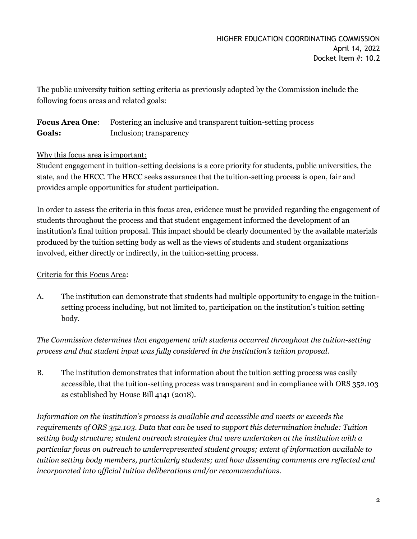The public university tuition setting criteria as previously adopted by the Commission include the following focus areas and related goals:

**Focus Area One**: Fostering an inclusive and transparent tuition-setting process **Goals:** Inclusion; transparency

# Why this focus area is important:

Student engagement in tuition-setting decisions is a core priority for students, public universities, the state, and the HECC. The HECC seeks assurance that the tuition-setting process is open, fair and provides ample opportunities for student participation.

In order to assess the criteria in this focus area, evidence must be provided regarding the engagement of students throughout the process and that student engagement informed the development of an institution's final tuition proposal. This impact should be clearly documented by the available materials produced by the tuition setting body as well as the views of students and student organizations involved, either directly or indirectly, in the tuition-setting process.

### Criteria for this Focus Area:

A. The institution can demonstrate that students had multiple opportunity to engage in the tuitionsetting process including, but not limited to, participation on the institution's tuition setting body.

*The Commission determines that engagement with students occurred throughout the tuition-setting process and that student input was fully considered in the institution's tuition proposal.*

B. The institution demonstrates that information about the tuition setting process was easily accessible, that the tuition-setting process was transparent and in compliance with ORS 352.103 as established by House Bill 4141 (2018).

*Information on the institution's process is available and accessible and meets or exceeds the requirements of ORS 352.103. Data that can be used to support this determination include: Tuition setting body structure; student outreach strategies that were undertaken at the institution with a particular focus on outreach to underrepresented student groups; extent of information available to tuition setting body members, particularly students; and how dissenting comments are reflected and incorporated into official tuition deliberations and/or recommendations.*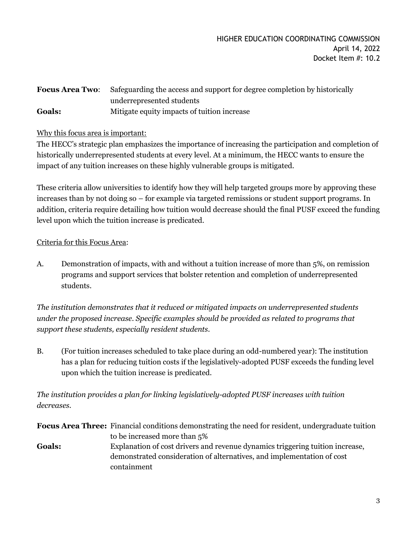# **Focus Area Two**: Safeguarding the access and support for degree completion by historically underrepresented students **Goals:** Mitigate equity impacts of tuition increase

# Why this focus area is important:

The HECC's strategic plan emphasizes the importance of increasing the participation and completion of historically underrepresented students at every level. At a minimum, the HECC wants to ensure the impact of any tuition increases on these highly vulnerable groups is mitigated.

These criteria allow universities to identify how they will help targeted groups more by approving these increases than by not doing so – for example via targeted remissions or student support programs. In addition, criteria require detailing how tuition would decrease should the final PUSF exceed the funding level upon which the tuition increase is predicated.

# Criteria for this Focus Area:

A. Demonstration of impacts, with and without a tuition increase of more than 5%, on remission programs and support services that bolster retention and completion of underrepresented students.

*The institution demonstrates that it reduced or mitigated impacts on underrepresented students under the proposed increase. Specific examples should be provided as related to programs that support these students, especially resident students.*

B. (For tuition increases scheduled to take place during an odd-numbered year): The institution has a plan for reducing tuition costs if the legislatively-adopted PUSF exceeds the funding level upon which the tuition increase is predicated.

*The institution provides a plan for linking legislatively-adopted PUSF increases with tuition decreases.*

**Focus Area Three:** Financial conditions demonstrating the need for resident, undergraduate tuition to be increased more than 5% **Goals:** Explanation of cost drivers and revenue dynamics triggering tuition increase, demonstrated consideration of alternatives, and implementation of cost containment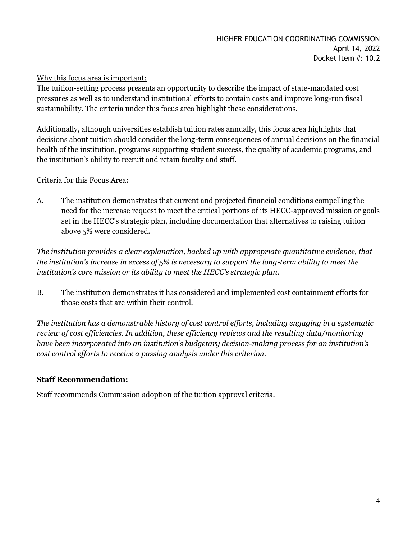### Why this focus area is important:

The tuition-setting process presents an opportunity to describe the impact of state-mandated cost pressures as well as to understand institutional efforts to contain costs and improve long-run fiscal sustainability. The criteria under this focus area highlight these considerations.

Additionally, although universities establish tuition rates annually, this focus area highlights that decisions about tuition should consider the long-term consequences of annual decisions on the financial health of the institution, programs supporting student success, the quality of academic programs, and the institution's ability to recruit and retain faculty and staff.

# Criteria for this Focus Area:

A. The institution demonstrates that current and projected financial conditions compelling the need for the increase request to meet the critical portions of its HECC-approved mission or goals set in the HECC's strategic plan, including documentation that alternatives to raising tuition above 5% were considered.

*The institution provides a clear explanation, backed up with appropriate quantitative evidence, that the institution's increase in excess of 5% is necessary to support the long-term ability to meet the institution's core mission or its ability to meet the HECC's strategic plan.*

B. The institution demonstrates it has considered and implemented cost containment efforts for those costs that are within their control.

*The institution has a demonstrable history of cost control efforts, including engaging in a systematic review of cost efficiencies. In addition, these efficiency reviews and the resulting data/monitoring have been incorporated into an institution's budgetary decision-making process for an institution's cost control efforts to receive a passing analysis under this criterion.*

# **Staff Recommendation:**

Staff recommends Commission adoption of the tuition approval criteria.